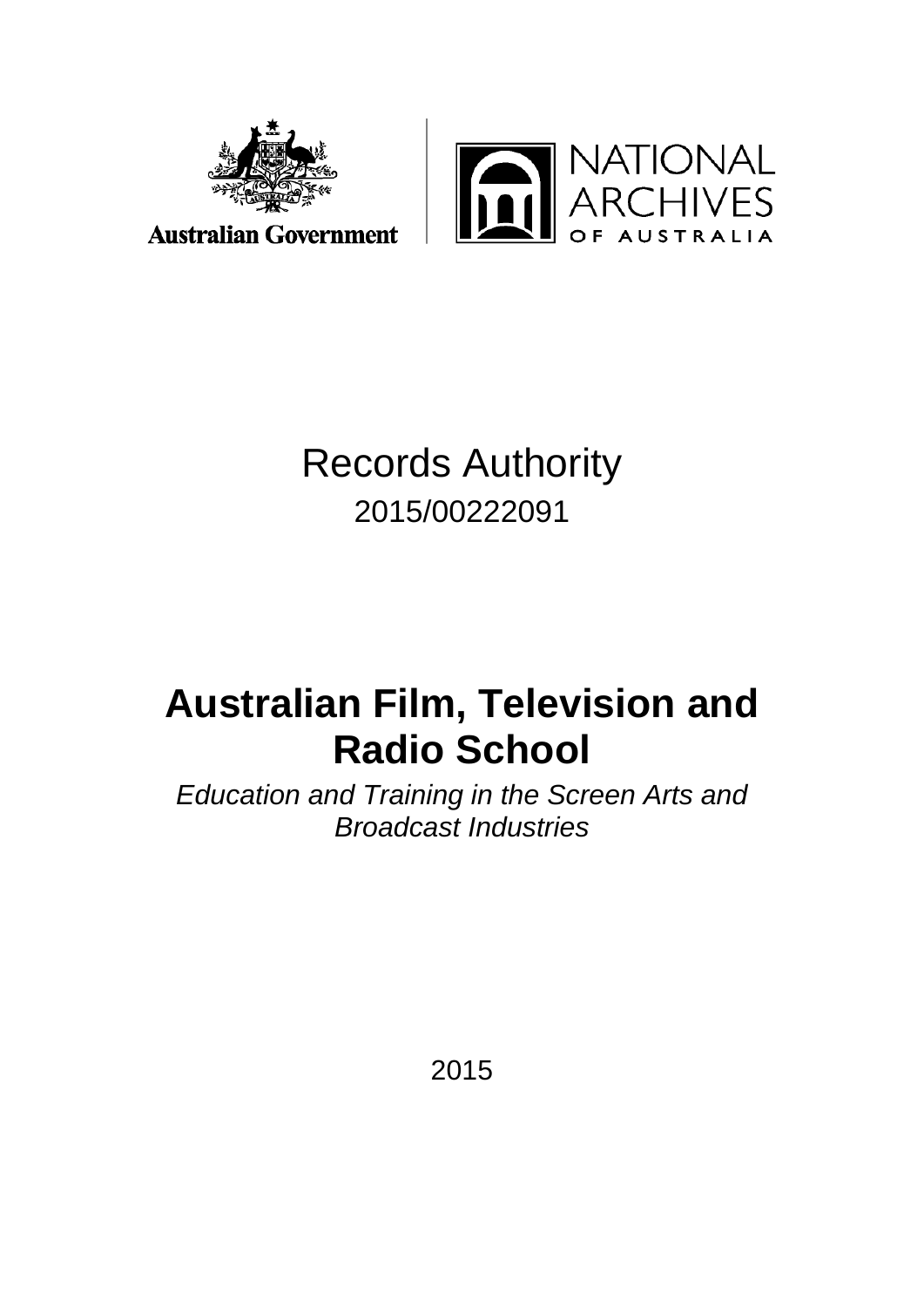



**Australian Government** 

# Records Authority 2015/00222091

# **Australian Film, Television and Radio School**

*Education and Training in the Screen Arts and Broadcast Industries*

2015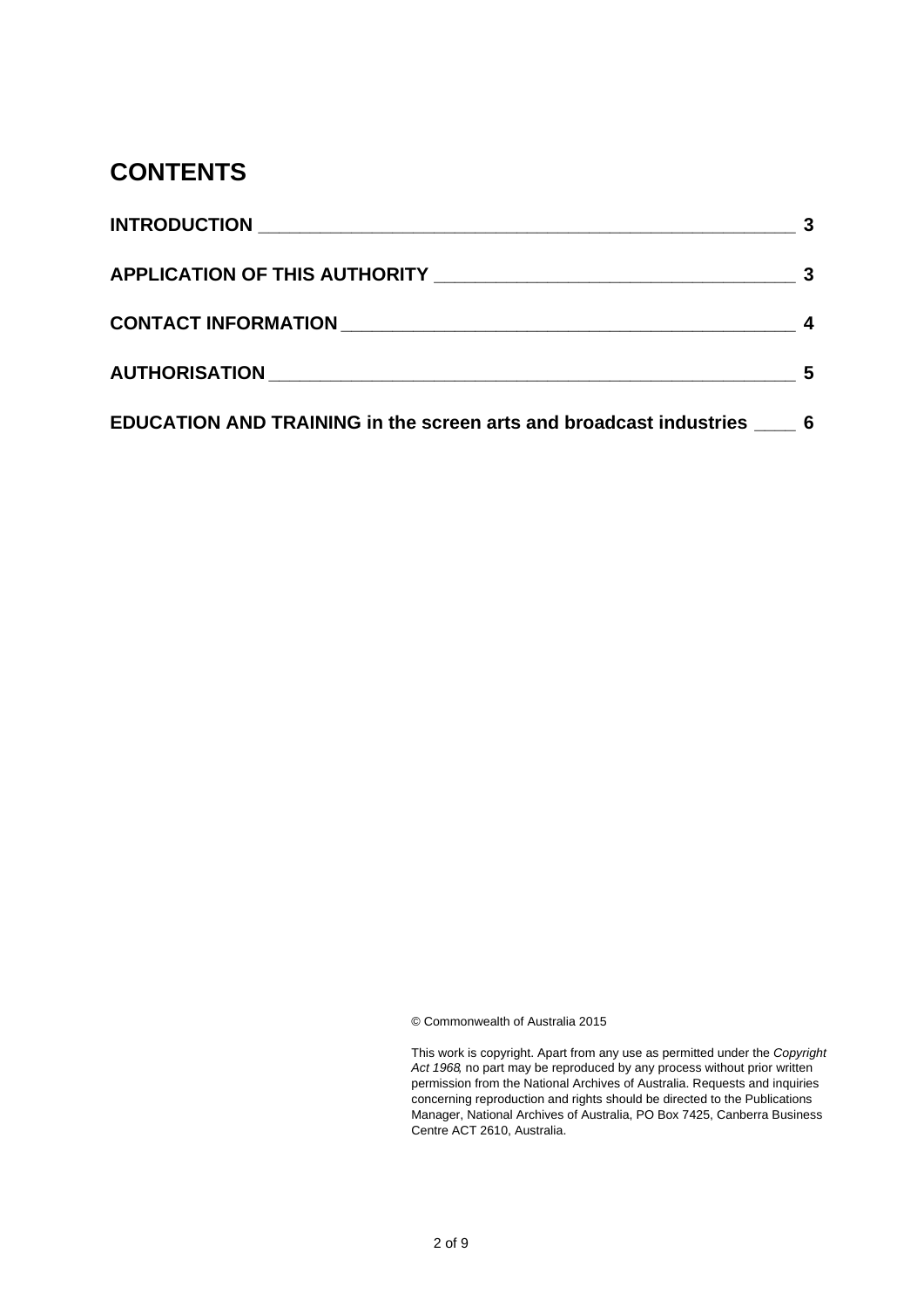# **CONTENTS**

| APPLICATION OF THIS AUTHORITY NAMES ARE AN OUT-THE RESERVE TO A PERSON RESERVED ASSESSMENT OF A PROPERTY AND T | -3 |
|----------------------------------------------------------------------------------------------------------------|----|
|                                                                                                                |    |
|                                                                                                                |    |
| EDUCATION AND TRAINING in the screen arts and broadcast industries ____ 6                                      |    |

© Commonwealth of Australia 2015

| This work is copyright. Apart from any use as permitted under the <i>Copyright</i> |
|------------------------------------------------------------------------------------|
| Act 1968 no part may be reproduced by any process without prior written            |
| permission from the National Archives of Australia. Requests and inquiries         |
| concerning reproduction and rights should be directed to the Publications          |
| Manager, National Archives of Australia, PO Box 7425, Canberra Business            |
| Centre ACT 2610. Australia.                                                        |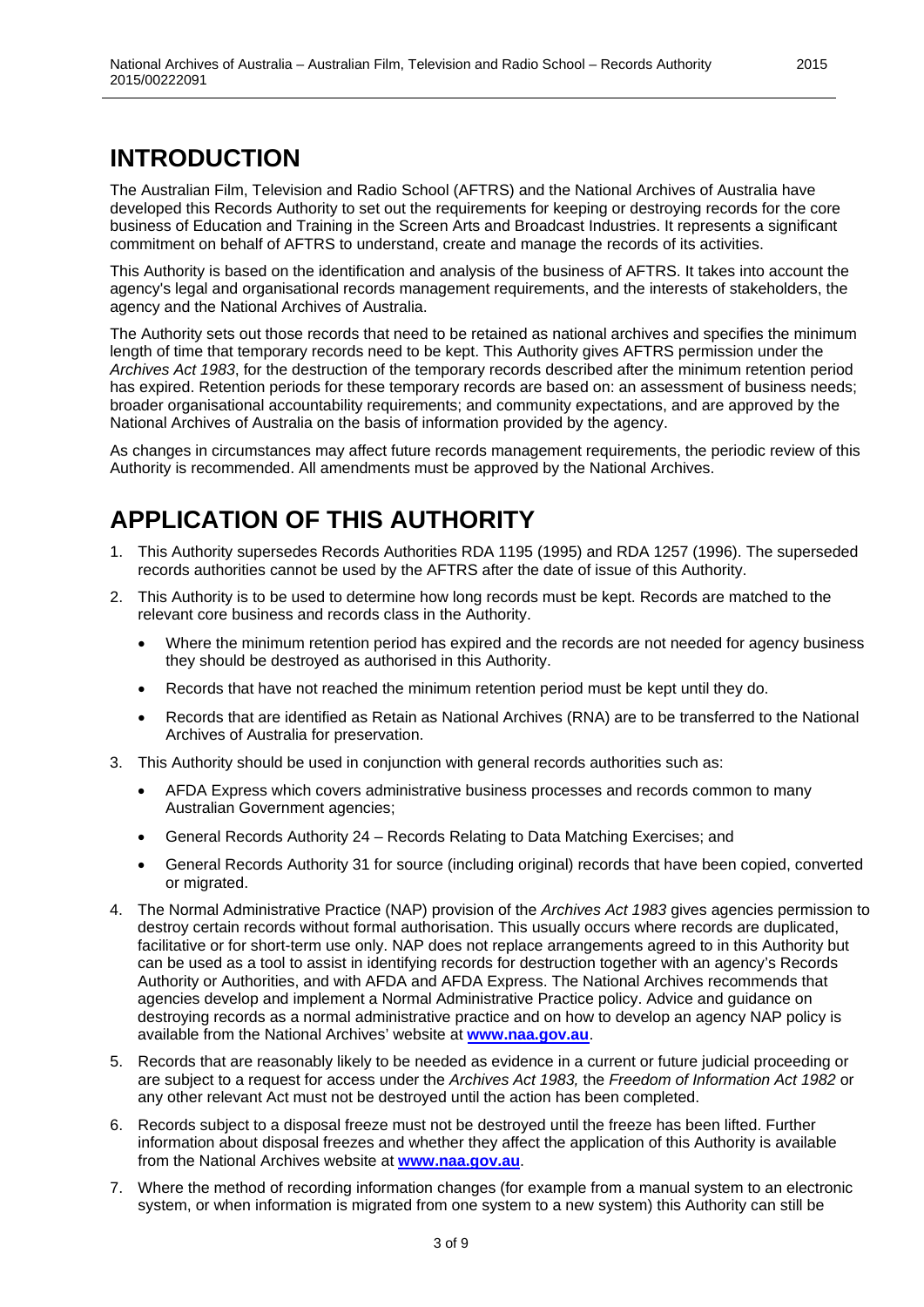# <span id="page-2-0"></span>**INTRODUCTION**

The Australian Film, Television and Radio School (AFTRS) and the National Archives of Australia have developed this Records Authority to set out the requirements for keeping or destroying records for the core business of Education and Training in the Screen Arts and Broadcast Industries. It represents a significant commitment on behalf of AFTRS to understand, create and manage the records of its activities.

This Authority is based on the identification and analysis of the business of AFTRS. It takes into account the agency's legal and organisational records management requirements, and the interests of stakeholders, the agency and the National Archives of Australia.

The Authority sets out those records that need to be retained as national archives and specifies the minimum length of time that temporary records need to be kept. This Authority gives AFTRS permission under the *Archives Act 1983*, for the destruction of the temporary records described after the minimum retention period has expired. Retention periods for these temporary records are based on: an assessment of business needs; broader organisational accountability requirements; and community expectations, and are approved by the National Archives of Australia on the basis of information provided by the agency.

As changes in circumstances may affect future records management requirements, the periodic review of this Authority is recommended. All amendments must be approved by the National Archives.

# <span id="page-2-1"></span>**APPLICATION OF THIS AUTHORITY**

- 1. This Authority supersedes Records Authorities RDA 1195 (1995) and RDA 1257 (1996). The superseded records authorities cannot be used by the AFTRS after the date of issue of this Authority.
- 2. This Authority is to be used to determine how long records must be kept. Records are matched to the relevant core business and records class in the Authority.
	- Where the minimum retention period has expired and the records are not needed for agency business they should be destroyed as authorised in this Authority.
	- Records that have not reached the minimum retention period must be kept until they do.
	- Records that are identified as Retain as National Archives (RNA) are to be transferred to the National Archives of Australia for preservation.
- 3. This Authority should be used in conjunction with general records authorities such as:
	- AFDA Express which covers administrative business processes and records common to many Australian Government agencies;
	- General Records Authority 24 Records Relating to Data Matching Exercises; and
	- General Records Authority 31 for source (including original) records that have been copied, converted or migrated.
- 4. The Normal Administrative Practice (NAP) provision of the *Archives Act 1983* gives agencies permission to destroy certain records without formal authorisation. This usually occurs where records are duplicated, facilitative or for short-term use only. NAP does not replace arrangements agreed to in this Authority but can be used as a tool to assist in identifying records for destruction together with an agency's Records Authority or Authorities, and with AFDA and AFDA Express. The National Archives recommends that agencies develop and implement a Normal Administrative Practice policy. Advice and guidance on destroying records as a normal administrative practice and on how to develop an agency NAP policy is available from the National Archives' website at **[www.naa.gov.au](http://www.naa.gov.au/)**.
- 5. Records that are reasonably likely to be needed as evidence in a current or future judicial proceeding or are subject to a request for access under the *Archives Act 1983,* the *Freedom of Information Act 1982* or any other relevant Act must not be destroyed until the action has been completed.
- 6. Records subject to a disposal freeze must not be destroyed until the freeze has been lifted. Further information about disposal freezes and whether they affect the application of this Authority is available from the National Archives website at **[www.naa.gov.au](http://www.naa.gov.au/)**.
- 7. Where the method of recording information changes (for example from a manual system to an electronic system, or when information is migrated from one system to a new system) this Authority can still be

3 of 9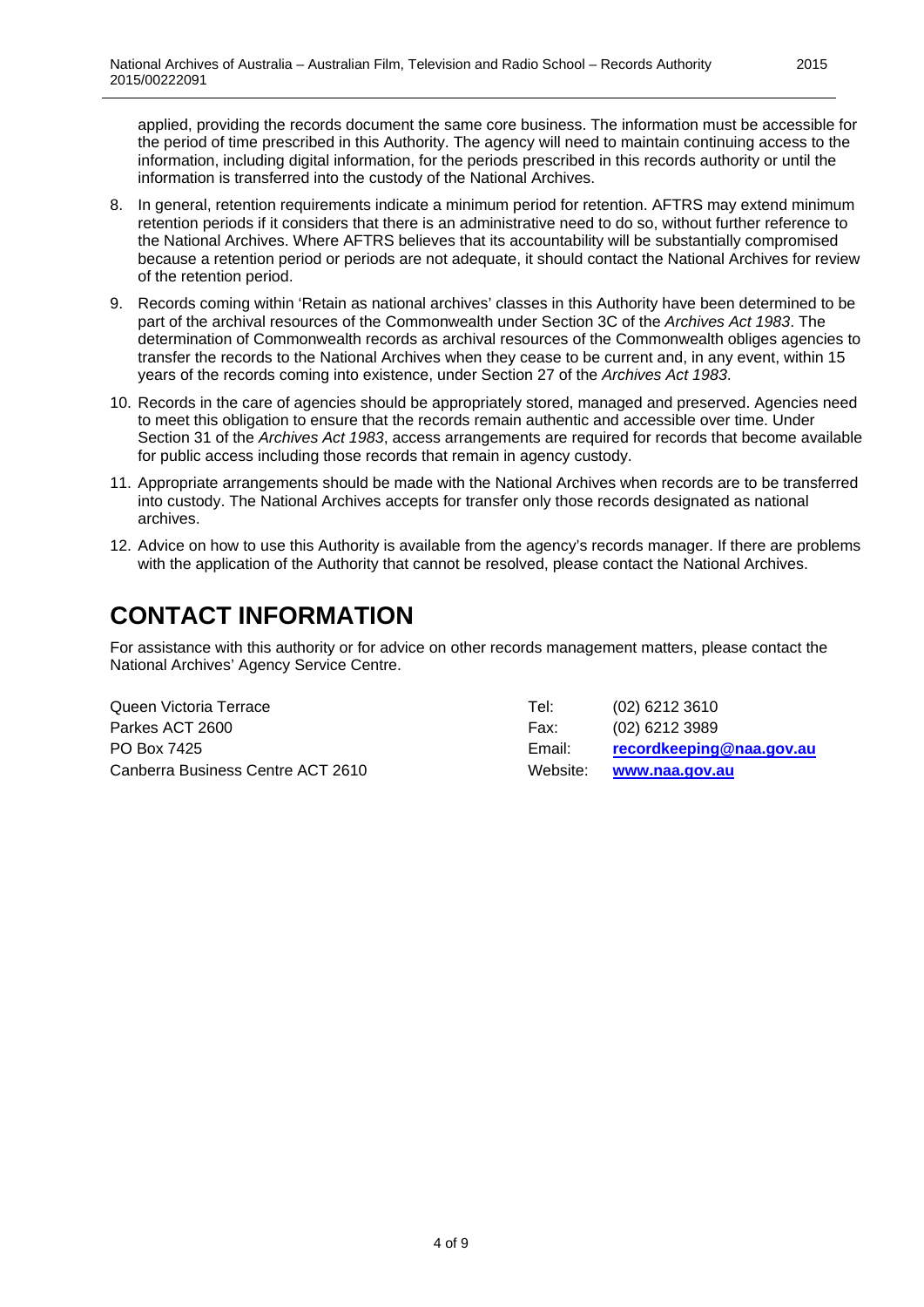applied, providing the records document the same core business. The information must be accessible for the period of time prescribed in this Authority. The agency will need to maintain continuing access to the information, including digital information, for the periods prescribed in this records authority or until the information is transferred into the custody of the National Archives.

- 8. In general, retention requirements indicate a minimum period for retention. AFTRS may extend minimum retention periods if it considers that there is an administrative need to do so, without further reference to the National Archives. Where AFTRS believes that its accountability will be substantially compromised because a retention period or periods are not adequate, it should contact the National Archives for review of the retention period.
- 9. Records coming within 'Retain as national archives' classes in this Authority have been determined to be part of the archival resources of the Commonwealth under Section 3C of the *Archives Act 1983*. The determination of Commonwealth records as archival resources of the Commonwealth obliges agencies to transfer the records to the National Archives when they cease to be current and, in any event, within 15 years of the records coming into existence, under Section 27 of the *Archives Act 1983*.
- 10. Records in the care of agencies should be appropriately stored, managed and preserved. Agencies need to meet this obligation to ensure that the records remain authentic and accessible over time. Under Section 31 of the *Archives Act 1983*, access arrangements are required for records that become available for public access including those records that remain in agency custody.
- 11. Appropriate arrangements should be made with the National Archives when records are to be transferred into custody. The National Archives accepts for transfer only those records designated as national archives.
- 12. Advice on how to use this Authority is available from the agency's records manager. If there are problems with the application of the Authority that cannot be resolved, please contact the National Archives.

# <span id="page-3-0"></span>**CONTACT INFORMATION**

For assistance with this authority or for advice on other records management matters, please contact the National Archives' Agency Service Centre.

| Queen Victoria Terrace            | Tel:     | $(02)$ 6212 3610         |
|-----------------------------------|----------|--------------------------|
| Parkes ACT 2600                   | Fax:     | $(02)$ 6212 3989         |
| PO Box 7425                       | Email:   | recordkeeping@naa.gov.au |
| Canberra Business Centre ACT 2610 | Website: | www.naa.gov.au           |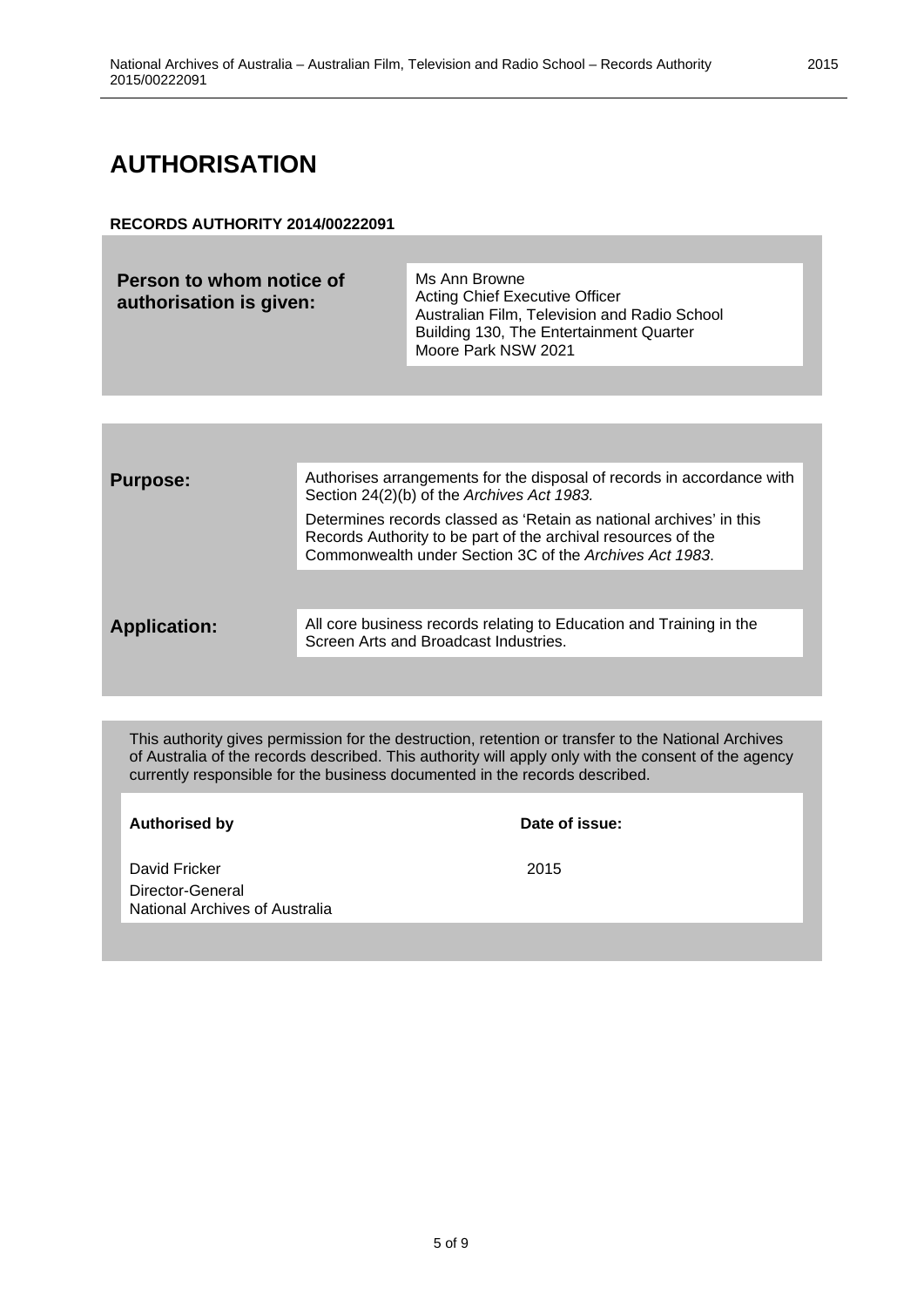#### <span id="page-4-0"></span>**AUTHORISATION**

#### **RECORDS AUTHORITY 2014/00222091**

| Person to whom notice of<br>authorisation is given: | Ms Ann Browne<br><b>Acting Chief Executive Officer</b><br>Australian Film, Television and Radio School<br>Building 130, The Entertainment Quarter<br>Moore Park NSW 2021 |
|-----------------------------------------------------|--------------------------------------------------------------------------------------------------------------------------------------------------------------------------|
|                                                     |                                                                                                                                                                          |

| <b>Purpose:</b>     | Authorises arrangements for the disposal of records in accordance with<br>Section 24(2)(b) of the Archives Act 1983.                                                                            |  |
|---------------------|-------------------------------------------------------------------------------------------------------------------------------------------------------------------------------------------------|--|
|                     | Determines records classed as 'Retain as national archives' in this<br>Records Authority to be part of the archival resources of the<br>Commonwealth under Section 3C of the Archives Act 1983. |  |
|                     |                                                                                                                                                                                                 |  |
| <b>Application:</b> | All core business records relating to Education and Training in the<br>Screen Arts and Broadcast Industries.                                                                                    |  |
|                     |                                                                                                                                                                                                 |  |

This authority gives permission for the destruction, retention or transfer to the National Archives of Australia of the records described. This authority will apply only with the consent of the agency currently responsible for the business documented in the records described.

| <b>Authorised by</b>                                                | Date of issue: |
|---------------------------------------------------------------------|----------------|
| David Fricker<br>Director-General<br>National Archives of Australia | 2015           |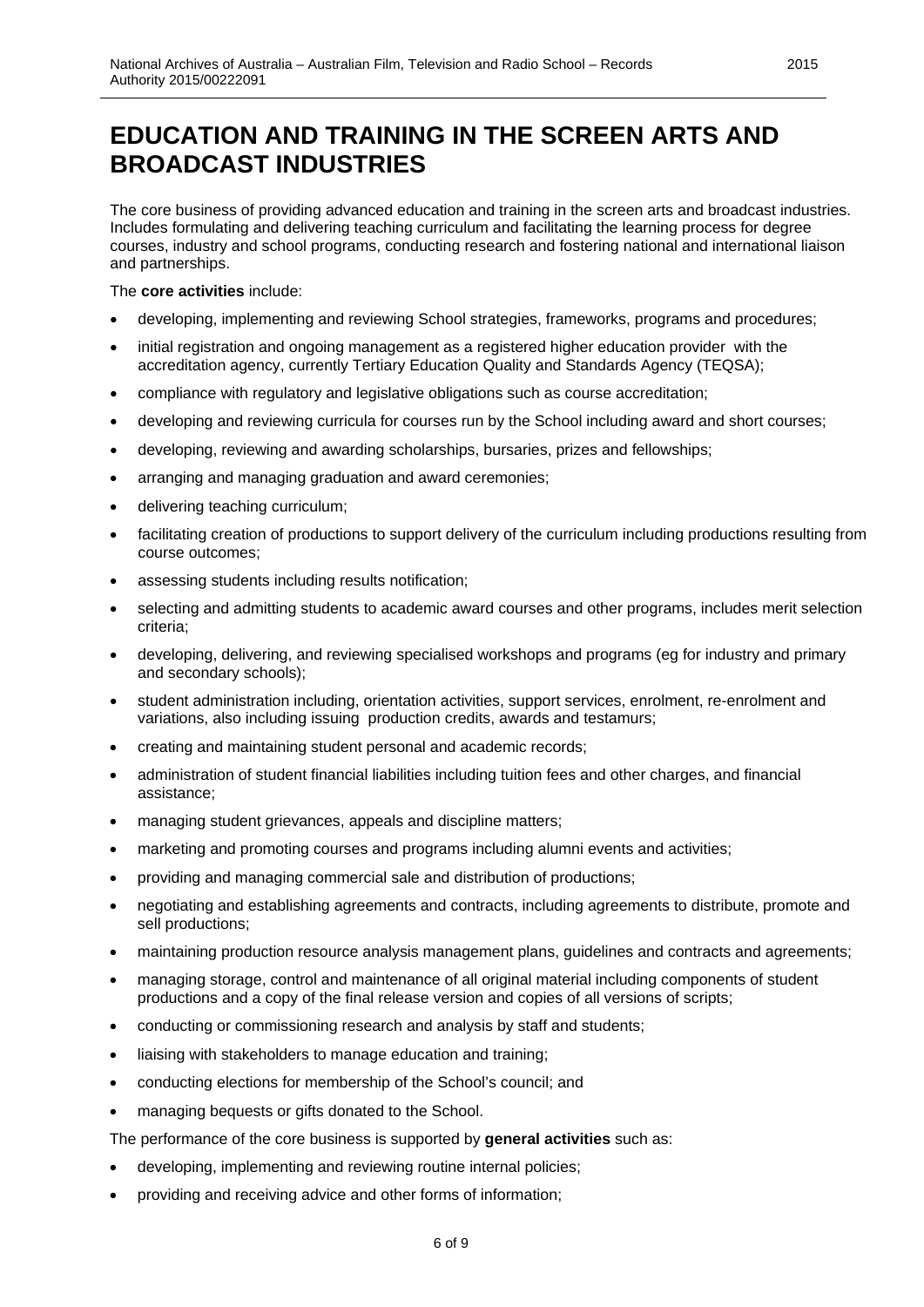<span id="page-5-0"></span>The core business of providing advanced education and training in the screen arts and broadcast industries. Includes formulating and delivering teaching curriculum and facilitating the learning process for degree courses, industry and school programs, conducting research and fostering national and international liaison and partnerships.

The **core activities** include:

- developing, implementing and reviewing School strategies, frameworks, programs and procedures;
- initial registration and ongoing management as a registered higher education provider with the accreditation agency, currently Tertiary Education Quality and Standards Agency (TEQSA);
- compliance with regulatory and legislative obligations such as course accreditation;
- developing and reviewing curricula for courses run by the School including award and short courses;
- developing, reviewing and awarding scholarships, bursaries, prizes and fellowships;
- arranging and managing graduation and award ceremonies;
- delivering teaching curriculum;
- facilitating creation of productions to support delivery of the curriculum including productions resulting from course outcomes;
- assessing students including results notification;
- selecting and admitting students to academic award courses and other programs, includes merit selection criteria;
- developing, delivering, and reviewing specialised workshops and programs (eg for industry and primary and secondary schools);
- student administration including, orientation activities, support services, enrolment, re-enrolment and variations, also including issuing production credits, awards and testamurs;
- creating and maintaining student personal and academic records;
- administration of student financial liabilities including tuition fees and other charges, and financial assistance;
- managing student grievances, appeals and discipline matters;
- marketing and promoting courses and programs including alumni events and activities;
- providing and managing commercial sale and distribution of productions;
- negotiating and establishing agreements and contracts, including agreements to distribute, promote and sell productions;
- maintaining production resource analysis management plans, guidelines and contracts and agreements;
- managing storage, control and maintenance of all original material including components of student productions and a copy of the final release version and copies of all versions of scripts;
- conducting or commissioning research and analysis by staff and students;
- liaising with stakeholders to manage education and training;
- conducting elections for membership of the School's council; and
- managing bequests or gifts donated to the School.

The performance of the core business is supported by **general activities** such as:

- developing, implementing and reviewing routine internal policies;
- providing and receiving advice and other forms of information;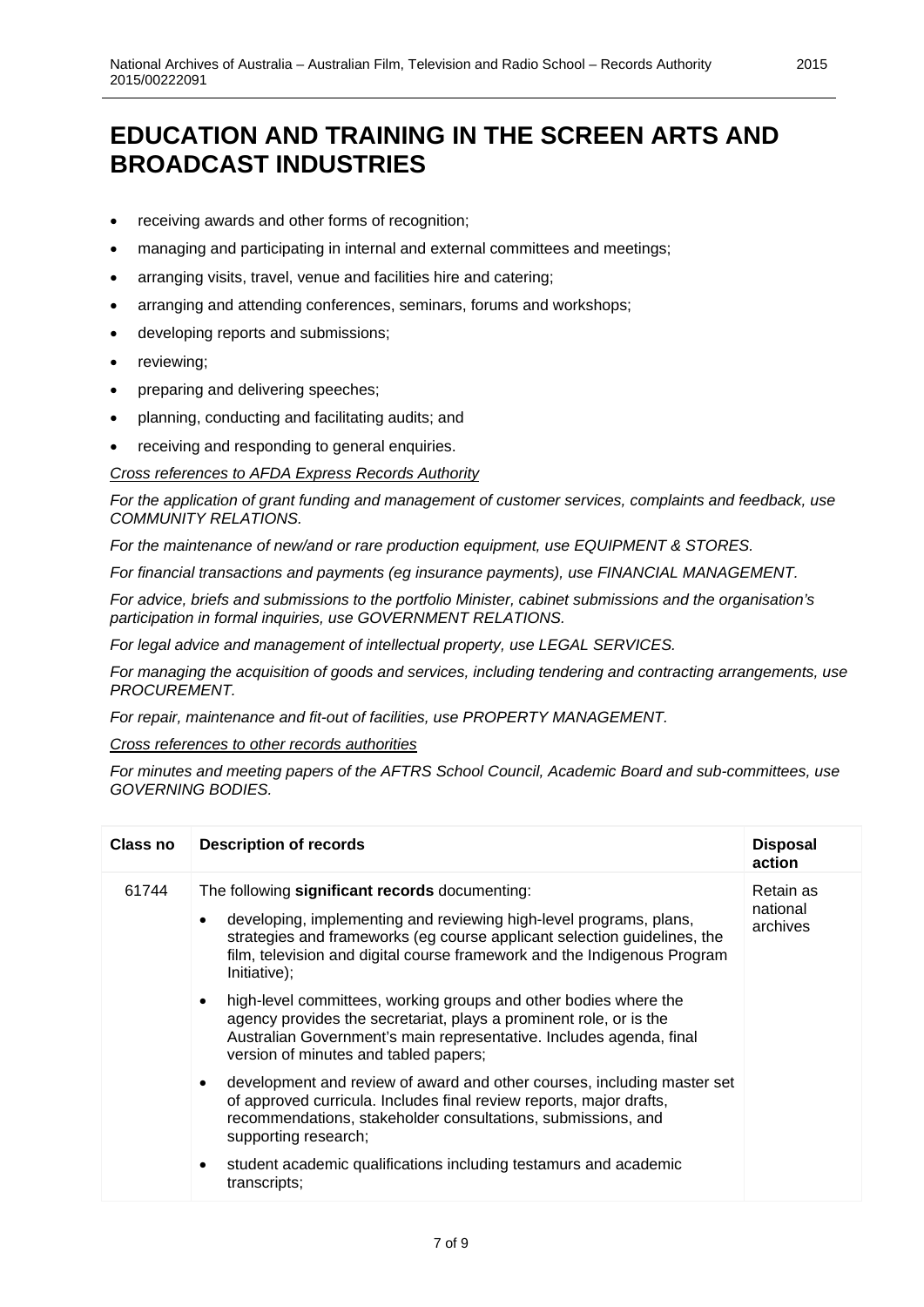- receiving awards and other forms of recognition;
- managing and participating in internal and external committees and meetings;
- arranging visits, travel, venue and facilities hire and catering;
- arranging and attending conferences, seminars, forums and workshops;
- developing reports and submissions;
- reviewing;
- preparing and delivering speeches;
- planning, conducting and facilitating audits; and
- receiving and responding to general enquiries.

*Cross references to AFDA Express Records Authority*

*For the application of grant funding and management of customer services, complaints and feedback, use COMMUNITY RELATIONS.*

*For the maintenance of new/and or rare production equipment, use EQUIPMENT & STORES.*

*For financial transactions and payments (eg insurance payments), use FINANCIAL MANAGEMENT.*

*For advice, briefs and submissions to the portfolio Minister, cabinet submissions and the organisation's participation in formal inquiries, use GOVERNMENT RELATIONS.*

*For legal advice and management of intellectual property, use LEGAL SERVICES.*

*For managing the acquisition of goods and services, including tendering and contracting arrangements, use PROCUREMENT.* 

*For repair, maintenance and fit-out of facilities, use PROPERTY MANAGEMENT.*

*Cross references to other records authorities*

*For minutes and meeting papers of the AFTRS School Council, Academic Board and sub-committees, use GOVERNING BODIES.*

| Class no | <b>Description of records</b>                                                                                                                                                                                                                           | <b>Disposal</b><br>action |
|----------|---------------------------------------------------------------------------------------------------------------------------------------------------------------------------------------------------------------------------------------------------------|---------------------------|
| 61744    | The following significant records documenting:                                                                                                                                                                                                          | Retain as                 |
|          | developing, implementing and reviewing high-level programs, plans,<br>$\bullet$<br>strategies and frameworks (eg course applicant selection guidelines, the<br>film, television and digital course framework and the Indigenous Program<br>Initiative); | national<br>archives      |
|          | high-level committees, working groups and other bodies where the<br>agency provides the secretariat, plays a prominent role, or is the<br>Australian Government's main representative. Includes agenda, final<br>version of minutes and tabled papers;  |                           |
|          | development and review of award and other courses, including master set<br>$\bullet$<br>of approved curricula. Includes final review reports, major drafts,<br>recommendations, stakeholder consultations, submissions, and<br>supporting research;     |                           |
|          | student academic qualifications including testamurs and academic<br>$\bullet$<br>transcripts;                                                                                                                                                           |                           |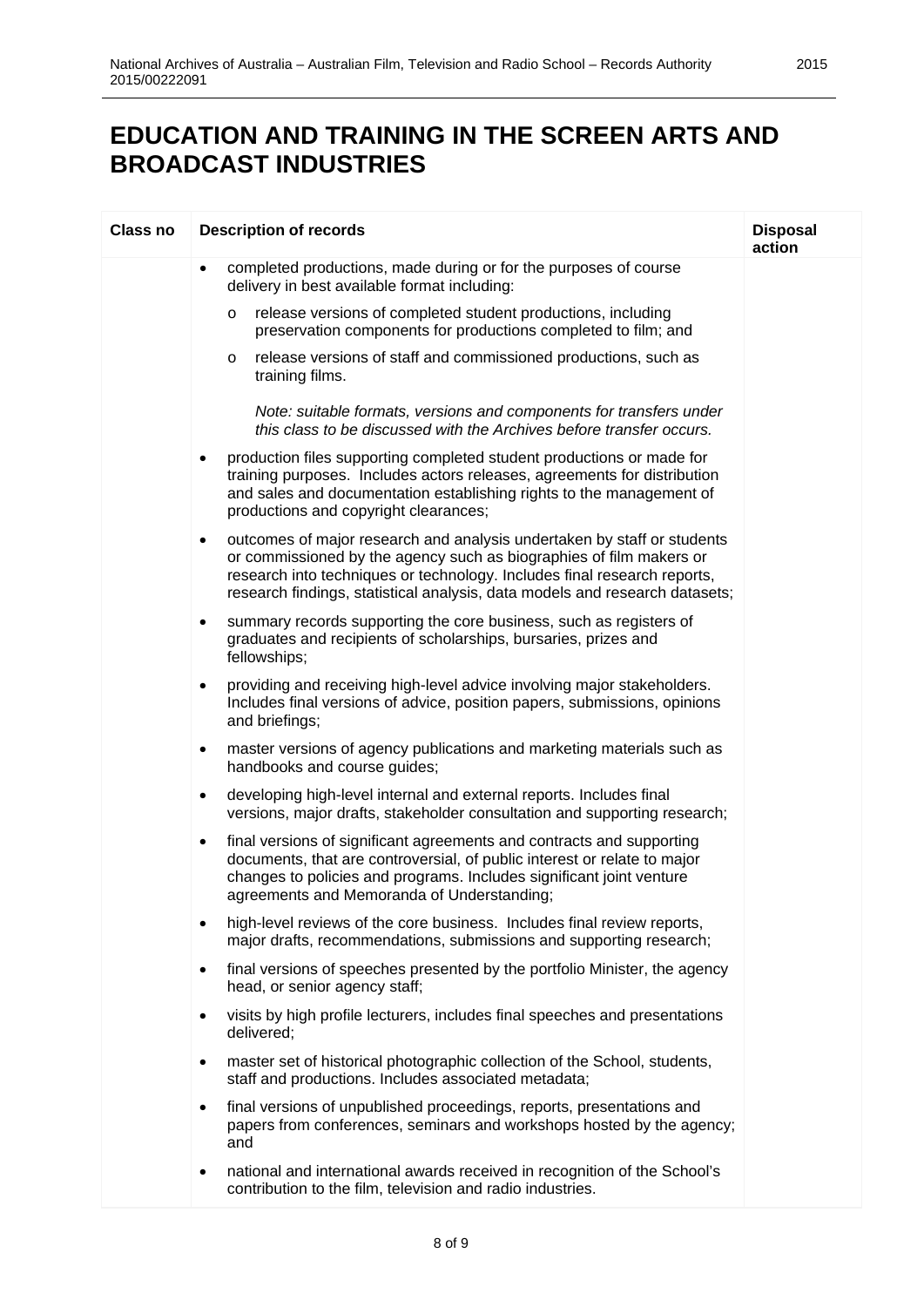| <b>Class no</b> | <b>Description of records</b>                                                                                                                                                                                                                                                                                          | <b>Disposal</b><br>action |
|-----------------|------------------------------------------------------------------------------------------------------------------------------------------------------------------------------------------------------------------------------------------------------------------------------------------------------------------------|---------------------------|
|                 | completed productions, made during or for the purposes of course<br>$\bullet$<br>delivery in best available format including:                                                                                                                                                                                          |                           |
|                 | release versions of completed student productions, including<br>$\circ$<br>preservation components for productions completed to film; and                                                                                                                                                                              |                           |
|                 | release versions of staff and commissioned productions, such as<br>$\circ$<br>training films.                                                                                                                                                                                                                          |                           |
|                 | Note: suitable formats, versions and components for transfers under<br>this class to be discussed with the Archives before transfer occurs.                                                                                                                                                                            |                           |
|                 | production files supporting completed student productions or made for<br>$\bullet$<br>training purposes. Includes actors releases, agreements for distribution<br>and sales and documentation establishing rights to the management of<br>productions and copyright clearances;                                        |                           |
|                 | outcomes of major research and analysis undertaken by staff or students<br>$\bullet$<br>or commissioned by the agency such as biographies of film makers or<br>research into techniques or technology. Includes final research reports,<br>research findings, statistical analysis, data models and research datasets; |                           |
|                 | summary records supporting the core business, such as registers of<br>٠<br>graduates and recipients of scholarships, bursaries, prizes and<br>fellowships;                                                                                                                                                             |                           |
|                 | providing and receiving high-level advice involving major stakeholders.<br>$\bullet$<br>Includes final versions of advice, position papers, submissions, opinions<br>and briefings;                                                                                                                                    |                           |
|                 | master versions of agency publications and marketing materials such as<br>٠<br>handbooks and course guides;                                                                                                                                                                                                            |                           |
|                 | developing high-level internal and external reports. Includes final<br>$\bullet$<br>versions, major drafts, stakeholder consultation and supporting research;                                                                                                                                                          |                           |
|                 | final versions of significant agreements and contracts and supporting<br>$\bullet$<br>documents, that are controversial, of public interest or relate to major<br>changes to policies and programs. Includes significant joint venture<br>agreements and Memoranda of Understanding;                                   |                           |
|                 | high-level reviews of the core business. Includes final review reports,<br>$\bullet$<br>major drafts, recommendations, submissions and supporting research;                                                                                                                                                            |                           |
|                 | final versions of speeches presented by the portfolio Minister, the agency<br>$\bullet$<br>head, or senior agency staff;                                                                                                                                                                                               |                           |
|                 | visits by high profile lecturers, includes final speeches and presentations<br>$\bullet$<br>delivered;                                                                                                                                                                                                                 |                           |
|                 | master set of historical photographic collection of the School, students,<br>$\bullet$<br>staff and productions. Includes associated metadata;                                                                                                                                                                         |                           |
|                 | final versions of unpublished proceedings, reports, presentations and<br>$\bullet$<br>papers from conferences, seminars and workshops hosted by the agency;<br>and                                                                                                                                                     |                           |
|                 | national and international awards received in recognition of the School's<br>٠<br>contribution to the film, television and radio industries.                                                                                                                                                                           |                           |